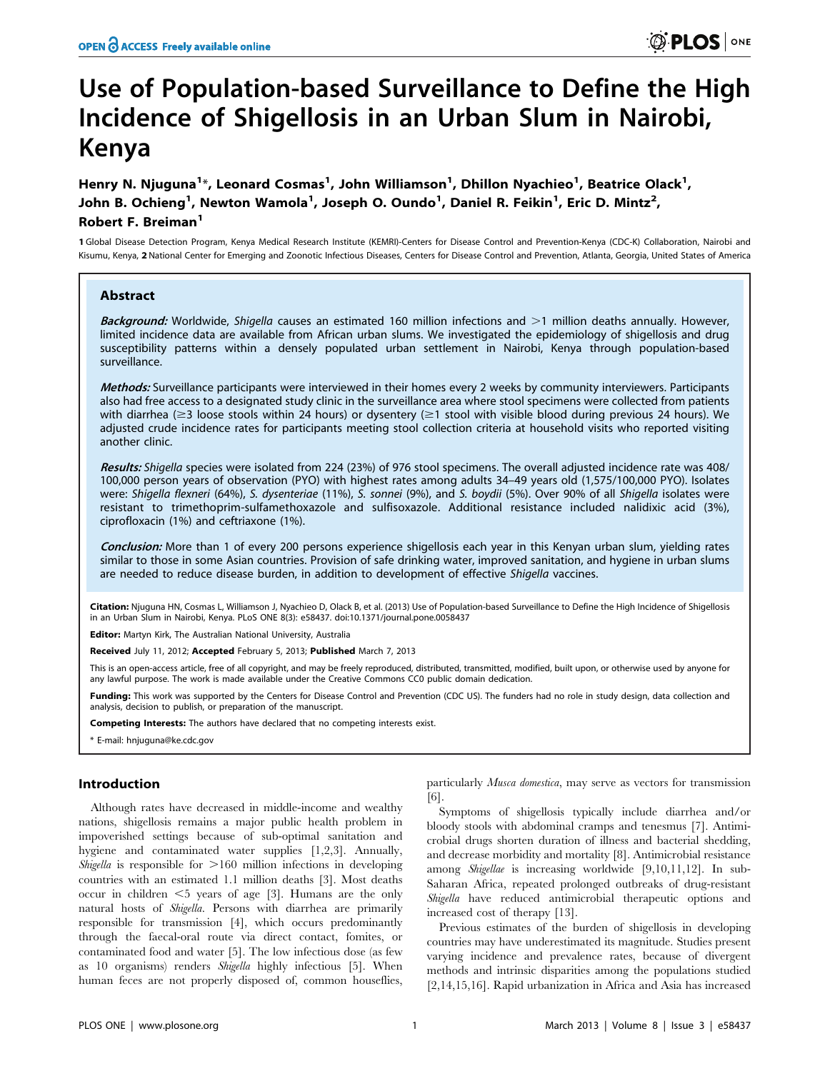# Use of Population-based Surveillance to Define the High Incidence of Shigellosis in an Urban Slum in Nairobi, Kenya

Henry N. Njuguna<sup>1</sup>\*, Leonard Cosmas<sup>1</sup>, John Williamson<sup>1</sup>, Dhillon Nyachieo<sup>1</sup>, Beatrice Olack<sup>1</sup>, John B. Ochieng<sup>1</sup>, Newton Wamola<sup>1</sup>, Joseph O. Oundo<sup>1</sup>, Daniel R. Feikin<sup>1</sup>, Eric D. Mintz<sup>2</sup>, Robert F. Breiman<sup>1</sup>

1 Global Disease Detection Program, Kenya Medical Research Institute (KEMRI)-Centers for Disease Control and Prevention-Kenya (CDC-K) Collaboration, Nairobi and Kisumu, Kenya, 2 National Center for Emerging and Zoonotic Infectious Diseases, Centers for Disease Control and Prevention, Atlanta, Georgia, United States of America

# Abstract

Background: Worldwide, Shigella causes an estimated 160 million infections and >1 million deaths annually. However, limited incidence data are available from African urban slums. We investigated the epidemiology of shigellosis and drug susceptibility patterns within a densely populated urban settlement in Nairobi, Kenya through population-based surveillance.

Methods: Surveillance participants were interviewed in their homes every 2 weeks by community interviewers. Participants also had free access to a designated study clinic in the surveillance area where stool specimens were collected from patients with diarrhea ( $\geq$ 3 loose stools within 24 hours) or dysentery ( $\geq$ 1 stool with visible blood during previous 24 hours). We adjusted crude incidence rates for participants meeting stool collection criteria at household visits who reported visiting another clinic.

Results: Shigella species were isolated from 224 (23%) of 976 stool specimens. The overall adjusted incidence rate was 408/ 100,000 person years of observation (PYO) with highest rates among adults 34–49 years old (1,575/100,000 PYO). Isolates were: Shigella flexneri (64%), S. dysenteriae (11%), S. sonnei (9%), and S. boydii (5%). Over 90% of all Shigella isolates were resistant to trimethoprim-sulfamethoxazole and sulfisoxazole. Additional resistance included nalidixic acid (3%), ciprofloxacin (1%) and ceftriaxone (1%).

Conclusion: More than 1 of every 200 persons experience shigellosis each year in this Kenyan urban slum, yielding rates similar to those in some Asian countries. Provision of safe drinking water, improved sanitation, and hygiene in urban slums are needed to reduce disease burden, in addition to development of effective Shigella vaccines.

Citation: Njuguna HN, Cosmas L, Williamson J, Nyachieo D, Olack B, et al. (2013) Use of Population-based Surveillance to Define the High Incidence of Shigellosis in an Urban Slum in Nairobi, Kenya. PLoS ONE 8(3): e58437. doi:10.1371/journal.pone.0058437

Editor: Martyn Kirk, The Australian National University, Australia

Received July 11, 2012; Accepted February 5, 2013; Published March 7, 2013

This is an open-access article, free of all copyright, and may be freely reproduced, distributed, transmitted, modified, built upon, or otherwise used by anyone for any lawful purpose. The work is made available under the Creative Commons CC0 public domain dedication.

Funding: This work was supported by the Centers for Disease Control and Prevention (CDC US). The funders had no role in study design, data collection and analysis, decision to publish, or preparation of the manuscript.

Competing Interests: The authors have declared that no competing interests exist.

\* E-mail: hnjuguna@ke.cdc.gov

## Introduction

Although rates have decreased in middle-income and wealthy nations, shigellosis remains a major public health problem in impoverished settings because of sub-optimal sanitation and hygiene and contaminated water supplies [1,2,3]. Annually, Shigella is responsible for  $>160$  million infections in developing countries with an estimated 1.1 million deaths [3]. Most deaths occur in children  $\leq$ 5 years of age [3]. Humans are the only natural hosts of Shigella. Persons with diarrhea are primarily responsible for transmission [4], which occurs predominantly through the faecal-oral route via direct contact, fomites, or contaminated food and water [5]. The low infectious dose (as few as 10 organisms) renders Shigella highly infectious [5]. When human feces are not properly disposed of, common houseflies,

particularly Musca domestica, may serve as vectors for transmission [6].

Symptoms of shigellosis typically include diarrhea and/or bloody stools with abdominal cramps and tenesmus [7]. Antimicrobial drugs shorten duration of illness and bacterial shedding, and decrease morbidity and mortality [8]. Antimicrobial resistance among Shigellae is increasing worldwide [9,10,11,12]. In sub-Saharan Africa, repeated prolonged outbreaks of drug-resistant Shigella have reduced antimicrobial therapeutic options and increased cost of therapy [13].

Previous estimates of the burden of shigellosis in developing countries may have underestimated its magnitude. Studies present varying incidence and prevalence rates, because of divergent methods and intrinsic disparities among the populations studied [2,14,15,16]. Rapid urbanization in Africa and Asia has increased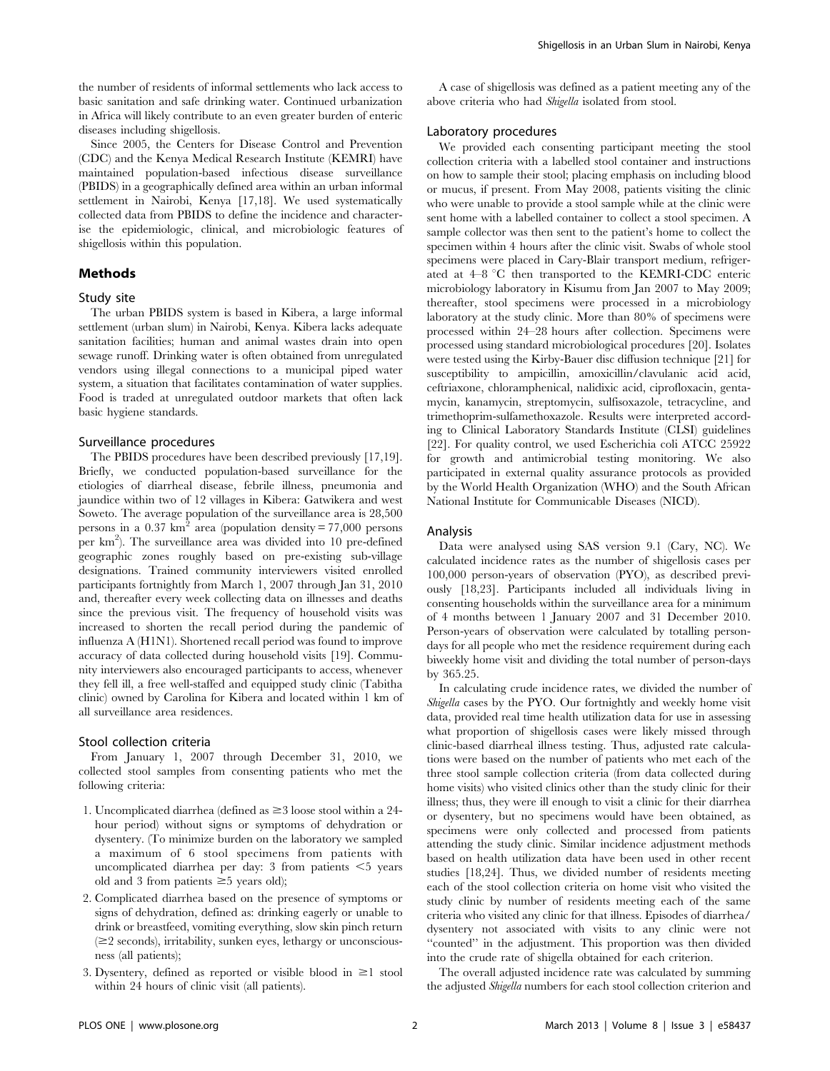the number of residents of informal settlements who lack access to basic sanitation and safe drinking water. Continued urbanization in Africa will likely contribute to an even greater burden of enteric diseases including shigellosis.

Since 2005, the Centers for Disease Control and Prevention (CDC) and the Kenya Medical Research Institute (KEMRI) have maintained population-based infectious disease surveillance (PBIDS) in a geographically defined area within an urban informal settlement in Nairobi, Kenya [17,18]. We used systematically collected data from PBIDS to define the incidence and characterise the epidemiologic, clinical, and microbiologic features of shigellosis within this population.

# Methods

### Study site

The urban PBIDS system is based in Kibera, a large informal settlement (urban slum) in Nairobi, Kenya. Kibera lacks adequate sanitation facilities; human and animal wastes drain into open sewage runoff. Drinking water is often obtained from unregulated vendors using illegal connections to a municipal piped water system, a situation that facilitates contamination of water supplies. Food is traded at unregulated outdoor markets that often lack basic hygiene standards.

## Surveillance procedures

The PBIDS procedures have been described previously [17,19]. Briefly, we conducted population-based surveillance for the etiologies of diarrheal disease, febrile illness, pneumonia and jaundice within two of 12 villages in Kibera: Gatwikera and west Soweto. The average population of the surveillance area is 28,500 persons in a  $0.37 \text{ km}^2$  area (population density = 77,000 persons per km<sup>2</sup>). The surveillance area was divided into 10 pre-defined geographic zones roughly based on pre-existing sub-village designations. Trained community interviewers visited enrolled participants fortnightly from March 1, 2007 through Jan 31, 2010 and, thereafter every week collecting data on illnesses and deaths since the previous visit. The frequency of household visits was increased to shorten the recall period during the pandemic of influenza A (H1N1). Shortened recall period was found to improve accuracy of data collected during household visits [19]. Community interviewers also encouraged participants to access, whenever they fell ill, a free well-staffed and equipped study clinic (Tabitha clinic) owned by Carolina for Kibera and located within 1 km of all surveillance area residences.

#### Stool collection criteria

From January 1, 2007 through December 31, 2010, we collected stool samples from consenting patients who met the following criteria:

- 1. Uncomplicated diarrhea (defined as  $\geq$  3 loose stool within a 24hour period) without signs or symptoms of dehydration or dysentery. (To minimize burden on the laboratory we sampled a maximum of 6 stool specimens from patients with uncomplicated diarrhea per day: 3 from patients  $\leq$  years old and 3 from patients  $\geq$  5 years old);
- 2. Complicated diarrhea based on the presence of symptoms or signs of dehydration, defined as: drinking eagerly or unable to drink or breastfeed, vomiting everything, slow skin pinch return  $(\geq 2$  seconds), irritability, sunken eyes, lethargy or unconsciousness (all patients);
- 3. Dysentery, defined as reported or visible blood in  $\geq 1$  stool within 24 hours of clinic visit (all patients).

A case of shigellosis was defined as a patient meeting any of the above criteria who had Shigella isolated from stool.

## Laboratory procedures

We provided each consenting participant meeting the stool collection criteria with a labelled stool container and instructions on how to sample their stool; placing emphasis on including blood or mucus, if present. From May 2008, patients visiting the clinic who were unable to provide a stool sample while at the clinic were sent home with a labelled container to collect a stool specimen. A sample collector was then sent to the patient's home to collect the specimen within 4 hours after the clinic visit. Swabs of whole stool specimens were placed in Cary-Blair transport medium, refrigerated at  $4-8$  °C then transported to the KEMRI-CDC enteric microbiology laboratory in Kisumu from Jan 2007 to May 2009; thereafter, stool specimens were processed in a microbiology laboratory at the study clinic. More than 80% of specimens were processed within 24–28 hours after collection. Specimens were processed using standard microbiological procedures [20]. Isolates were tested using the Kirby-Bauer disc diffusion technique [21] for susceptibility to ampicillin, amoxicillin/clavulanic acid acid, ceftriaxone, chloramphenical, nalidixic acid, ciprofloxacin, gentamycin, kanamycin, streptomycin, sulfisoxazole, tetracycline, and trimethoprim-sulfamethoxazole. Results were interpreted according to Clinical Laboratory Standards Institute (CLSI) guidelines [22]. For quality control, we used Escherichia coli ATCC 25922 for growth and antimicrobial testing monitoring. We also participated in external quality assurance protocols as provided by the World Health Organization (WHO) and the South African National Institute for Communicable Diseases (NICD).

#### Analysis

Data were analysed using SAS version 9.1 (Cary, NC). We calculated incidence rates as the number of shigellosis cases per 100,000 person-years of observation (PYO), as described previously [18,23]. Participants included all individuals living in consenting households within the surveillance area for a minimum of 4 months between 1 January 2007 and 31 December 2010. Person-years of observation were calculated by totalling persondays for all people who met the residence requirement during each biweekly home visit and dividing the total number of person-days by 365.25.

In calculating crude incidence rates, we divided the number of Shigella cases by the PYO. Our fortnightly and weekly home visit data, provided real time health utilization data for use in assessing what proportion of shigellosis cases were likely missed through clinic-based diarrheal illness testing. Thus, adjusted rate calculations were based on the number of patients who met each of the three stool sample collection criteria (from data collected during home visits) who visited clinics other than the study clinic for their illness; thus, they were ill enough to visit a clinic for their diarrhea or dysentery, but no specimens would have been obtained, as specimens were only collected and processed from patients attending the study clinic. Similar incidence adjustment methods based on health utilization data have been used in other recent studies [18,24]. Thus, we divided number of residents meeting each of the stool collection criteria on home visit who visited the study clinic by number of residents meeting each of the same criteria who visited any clinic for that illness. Episodes of diarrhea/ dysentery not associated with visits to any clinic were not "counted" in the adjustment. This proportion was then divided into the crude rate of shigella obtained for each criterion.

The overall adjusted incidence rate was calculated by summing the adjusted Shigella numbers for each stool collection criterion and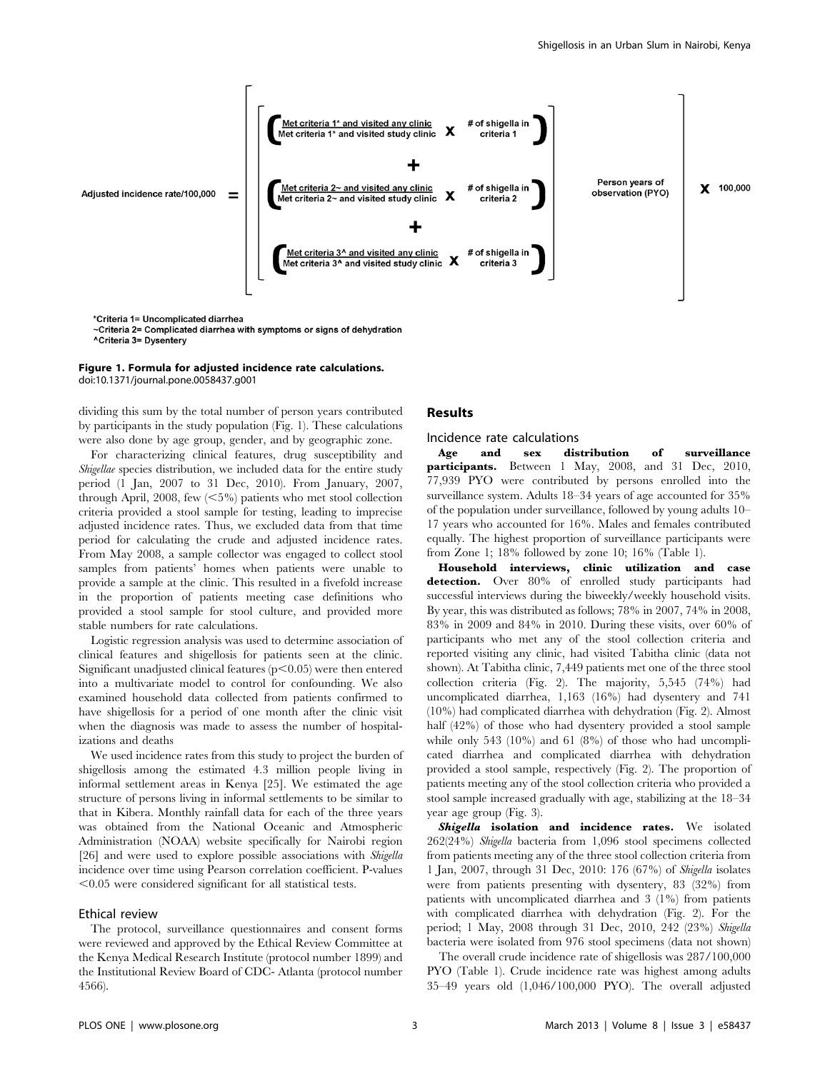

~Criteria 2= Complicated diarrhea with symptoms or signs of dehydration ^Criteria 3= Dysentery

#### Figure 1. Formula for adjusted incidence rate calculations. doi:10.1371/journal.pone.0058437.g001

dividing this sum by the total number of person years contributed by participants in the study population (Fig. 1). These calculations were also done by age group, gender, and by geographic zone.

For characterizing clinical features, drug susceptibility and Shigellae species distribution, we included data for the entire study period (1 Jan, 2007 to 31 Dec, 2010). From January, 2007, through April, 2008, few  $\langle 5\% \rangle$  patients who met stool collection criteria provided a stool sample for testing, leading to imprecise adjusted incidence rates. Thus, we excluded data from that time period for calculating the crude and adjusted incidence rates. From May 2008, a sample collector was engaged to collect stool samples from patients' homes when patients were unable to provide a sample at the clinic. This resulted in a fivefold increase in the proportion of patients meeting case definitions who provided a stool sample for stool culture, and provided more stable numbers for rate calculations.

Logistic regression analysis was used to determine association of clinical features and shigellosis for patients seen at the clinic. Significant unadjusted clinical features  $(p<0.05)$  were then entered into a multivariate model to control for confounding. We also examined household data collected from patients confirmed to have shigellosis for a period of one month after the clinic visit when the diagnosis was made to assess the number of hospitalizations and deaths

We used incidence rates from this study to project the burden of shigellosis among the estimated 4.3 million people living in informal settlement areas in Kenya [25]. We estimated the age structure of persons living in informal settlements to be similar to that in Kibera. Monthly rainfall data for each of the three years was obtained from the National Oceanic and Atmospheric Administration (NOAA) website specifically for Nairobi region [26] and were used to explore possible associations with *Shigella* incidence over time using Pearson correlation coefficient. P-values  $< 0.05$  were considered significant for all statistical tests.

## Ethical review

The protocol, surveillance questionnaires and consent forms were reviewed and approved by the Ethical Review Committee at the Kenya Medical Research Institute (protocol number 1899) and the Institutional Review Board of CDC- Atlanta (protocol number 4566).

# Results

#### Incidence rate calculations

Age and sex distribution of surveillance participants. Between 1 May, 2008, and 31 Dec, 2010, 77,939 PYO were contributed by persons enrolled into the surveillance system. Adults 18–34 years of age accounted for 35% of the population under surveillance, followed by young adults 10– 17 years who accounted for 16%. Males and females contributed equally. The highest proportion of surveillance participants were from Zone 1; 18% followed by zone 10; 16% (Table 1).

Household interviews, clinic utilization and case detection. Over 80% of enrolled study participants had successful interviews during the biweekly/weekly household visits. By year, this was distributed as follows; 78% in 2007, 74% in 2008, 83% in 2009 and 84% in 2010. During these visits, over 60% of participants who met any of the stool collection criteria and reported visiting any clinic, had visited Tabitha clinic (data not shown). At Tabitha clinic, 7,449 patients met one of the three stool collection criteria (Fig. 2). The majority, 5,545 (74%) had uncomplicated diarrhea, 1,163 (16%) had dysentery and 741 (10%) had complicated diarrhea with dehydration (Fig. 2). Almost half (42%) of those who had dysentery provided a stool sample while only 543 (10%) and 61 (8%) of those who had uncomplicated diarrhea and complicated diarrhea with dehydration provided a stool sample, respectively (Fig. 2). The proportion of patients meeting any of the stool collection criteria who provided a stool sample increased gradually with age, stabilizing at the 18–34 year age group (Fig. 3).

Shigella isolation and incidence rates. We isolated 262(24%) Shigella bacteria from 1,096 stool specimens collected from patients meeting any of the three stool collection criteria from 1 Jan, 2007, through 31 Dec, 2010: 176 (67%) of Shigella isolates were from patients presenting with dysentery, 83 (32%) from patients with uncomplicated diarrhea and 3 (1%) from patients with complicated diarrhea with dehydration (Fig. 2). For the period; 1 May, 2008 through 31 Dec, 2010, 242 (23%) Shigella bacteria were isolated from 976 stool specimens (data not shown)

The overall crude incidence rate of shigellosis was 287/100,000 PYO (Table 1). Crude incidence rate was highest among adults 35–49 years old (1,046/100,000 PYO). The overall adjusted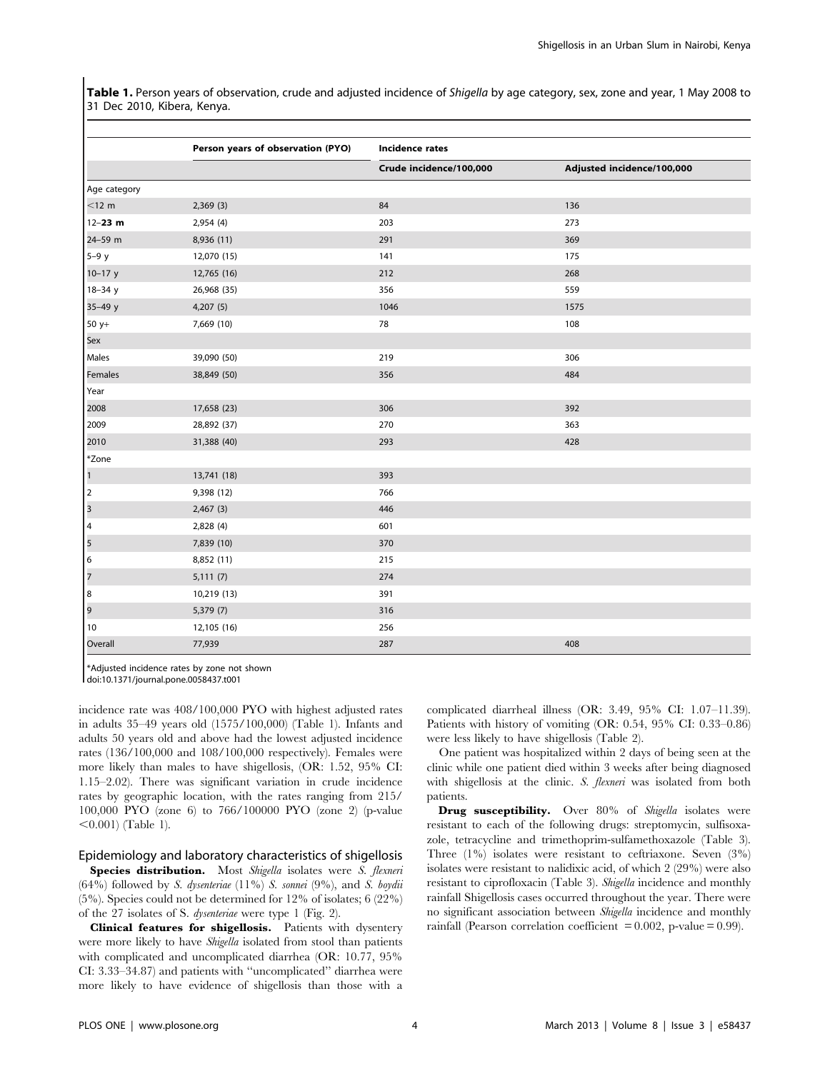Table 1. Person years of observation, crude and adjusted incidence of Shigella by age category, sex, zone and year, 1 May 2008 to 31 Dec 2010, Kibera, Kenya.

|                                       | Person years of observation (PYO) | Incidence rates         |                            |  |
|---------------------------------------|-----------------------------------|-------------------------|----------------------------|--|
|                                       |                                   | Crude incidence/100,000 | Adjusted incidence/100,000 |  |
| Age category                          |                                   |                         |                            |  |
| $<$ 12 m                              | 2,369(3)                          | 84                      | 136                        |  |
| 12-23 m                               | 2,954 (4)                         | 203                     | 273                        |  |
| 24-59 m                               | 8,936 (11)                        | 291                     | 369                        |  |
| $5-9y$                                | 12,070 (15)                       | 141                     | 175                        |  |
| $10 - 17$ y                           | 12,765 (16)                       | 212                     | 268                        |  |
| $18 - 34y$                            | 26,968 (35)                       | 356                     | 559                        |  |
| $35 - 49y$                            | 4,207(5)                          | 1046                    | 1575                       |  |
| 50 y+                                 | 7,669 (10)                        | 78                      | 108                        |  |
| <b>Sex</b>                            |                                   |                         |                            |  |
| Males                                 | 39,090 (50)                       | 219                     | 306                        |  |
| Females                               | 38,849 (50)                       | 356                     | 484                        |  |
| Year                                  |                                   |                         |                            |  |
| 2008                                  | 17,658 (23)                       | 306                     | 392                        |  |
| 2009                                  | 28,892 (37)                       | 270                     | 363                        |  |
| 2010                                  | 31,388 (40)                       | 293                     | 428                        |  |
| *Zone                                 |                                   |                         |                            |  |
| $\vert$ <sup>1</sup>                  | 13,741 (18)                       | 393                     |                            |  |
| $\vert$ <sub>2</sub>                  | 9,398 (12)                        | 766                     |                            |  |
| $\overline{\mathbf{3}}$               | 2,467(3)                          | 446                     |                            |  |
| $\begin{array}{c} 4 \\ 5 \end{array}$ | 2,828 (4)                         | 601                     |                            |  |
|                                       | 7,839 (10)                        | 370                     |                            |  |
| $\vert 6 \vert$                       | 8,852 (11)                        | 215                     |                            |  |
| $\vert$ 7                             | 5,111(7)                          | 274                     |                            |  |
| $\vert$ 8                             | 10,219 (13)                       | 391                     |                            |  |
| 9                                     | 5,379 (7)                         | 316                     |                            |  |
| 10                                    | 12,105 (16)                       | 256                     |                            |  |
| Overall                               | 77,939                            | 287                     | 408                        |  |

\*Adjusted incidence rates by zone not shown

doi:10.1371/journal.pone.0058437.t001

incidence rate was 408/100,000 PYO with highest adjusted rates in adults 35–49 years old (1575/100,000) (Table 1). Infants and adults 50 years old and above had the lowest adjusted incidence rates (136/100,000 and 108/100,000 respectively). Females were more likely than males to have shigellosis, (OR: 1.52, 95% CI: 1.15–2.02). There was significant variation in crude incidence rates by geographic location, with the rates ranging from 215/ 100,000 PYO (zone 6) to 766/100000 PYO (zone 2) (p-value  $<$ 0.001) (Table 1).

# Epidemiology and laboratory characteristics of shigellosis

Species distribution. Most Shigella isolates were S. flexneri  $(64%)$  followed by S. dysenteriae  $(11%)$  S. sonnei  $(9%)$ , and S. boydii (5%). Species could not be determined for 12% of isolates; 6 (22%) of the 27 isolates of S. dysenteriae were type 1 (Fig. 2).

Clinical features for shigellosis. Patients with dysentery were more likely to have *Shigella* isolated from stool than patients with complicated and uncomplicated diarrhea (OR: 10.77, 95% CI: 3.33–34.87) and patients with ''uncomplicated'' diarrhea were more likely to have evidence of shigellosis than those with a

complicated diarrheal illness (OR: 3.49, 95% CI: 1.07–11.39). Patients with history of vomiting (OR: 0.54, 95% CI: 0.33–0.86) were less likely to have shigellosis (Table 2).

One patient was hospitalized within 2 days of being seen at the clinic while one patient died within 3 weeks after being diagnosed with shigellosis at the clinic. S. *flexneri* was isolated from both patients.

**Drug susceptibility.** Over 80% of Shigella isolates were resistant to each of the following drugs: streptomycin, sulfisoxazole, tetracycline and trimethoprim-sulfamethoxazole (Table 3). Three (1%) isolates were resistant to ceftriaxone. Seven (3%) isolates were resistant to nalidixic acid, of which 2 (29%) were also resistant to ciprofloxacin (Table 3). Shigella incidence and monthly rainfall Shigellosis cases occurred throughout the year. There were no significant association between Shigella incidence and monthly rainfall (Pearson correlation coefficient  $= 0.002$ , p-value  $= 0.99$ ).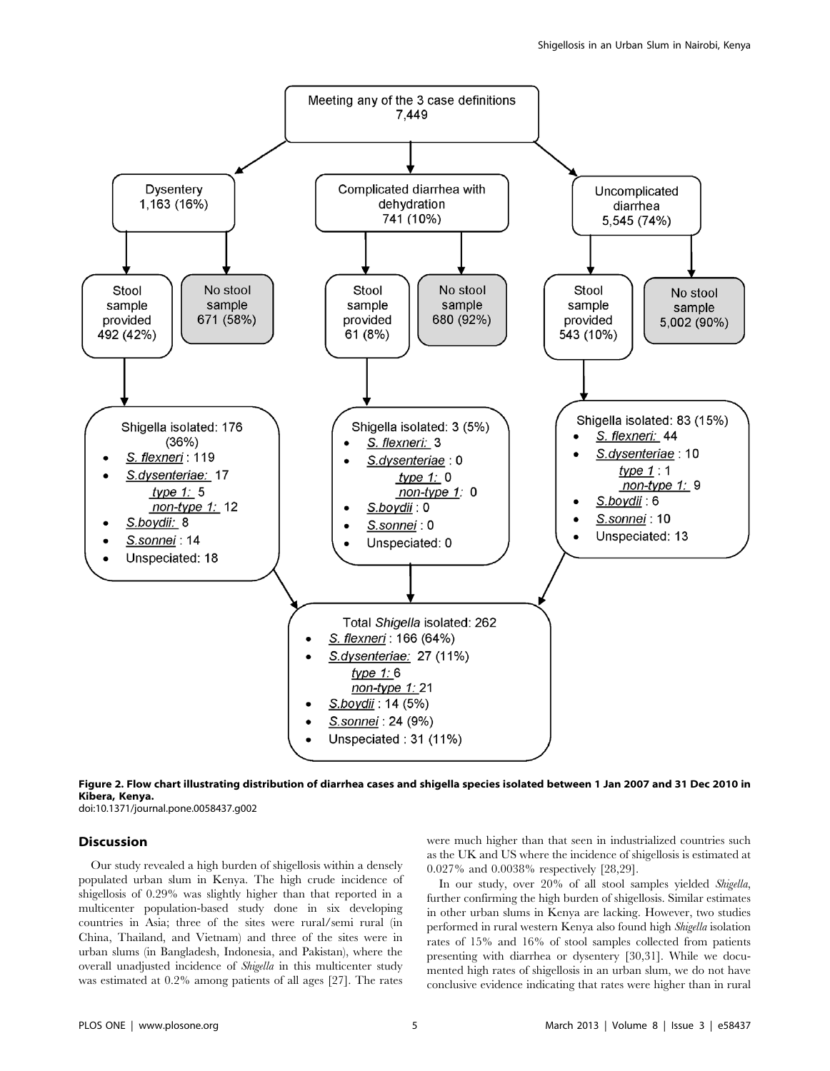



doi:10.1371/journal.pone.0058437.g002

## **Discussion**

Our study revealed a high burden of shigellosis within a densely populated urban slum in Kenya. The high crude incidence of shigellosis of 0.29% was slightly higher than that reported in a multicenter population-based study done in six developing countries in Asia; three of the sites were rural/semi rural (in China, Thailand, and Vietnam) and three of the sites were in urban slums (in Bangladesh, Indonesia, and Pakistan), where the overall unadjusted incidence of Shigella in this multicenter study was estimated at 0.2% among patients of all ages [27]. The rates

were much higher than that seen in industrialized countries such as the UK and US where the incidence of shigellosis is estimated at 0.027% and 0.0038% respectively [28,29].

In our study, over 20% of all stool samples yielded Shigella, further confirming the high burden of shigellosis. Similar estimates in other urban slums in Kenya are lacking. However, two studies performed in rural western Kenya also found high Shigella isolation rates of 15% and 16% of stool samples collected from patients presenting with diarrhea or dysentery [30,31]. While we documented high rates of shigellosis in an urban slum, we do not have conclusive evidence indicating that rates were higher than in rural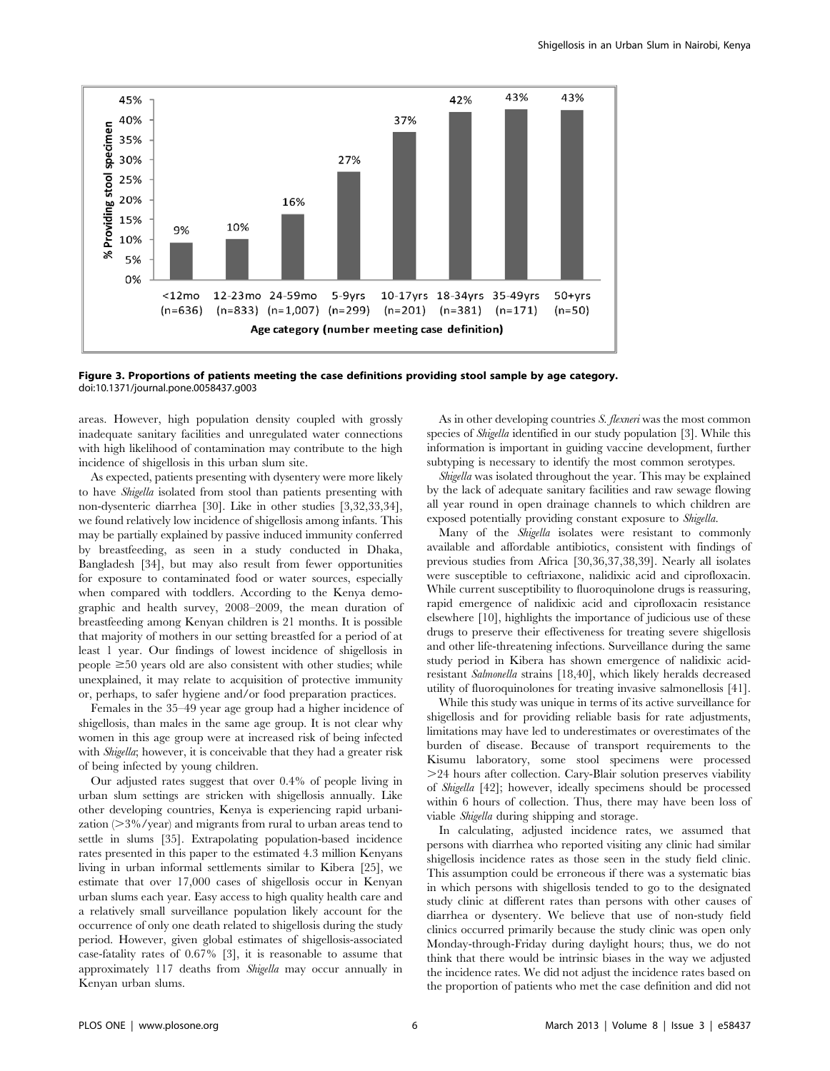

Figure 3. Proportions of patients meeting the case definitions providing stool sample by age category. doi:10.1371/journal.pone.0058437.g003

areas. However, high population density coupled with grossly inadequate sanitary facilities and unregulated water connections with high likelihood of contamination may contribute to the high incidence of shigellosis in this urban slum site.

As expected, patients presenting with dysentery were more likely to have Shigella isolated from stool than patients presenting with non-dysenteric diarrhea [30]. Like in other studies [3,32,33,34], we found relatively low incidence of shigellosis among infants. This may be partially explained by passive induced immunity conferred by breastfeeding, as seen in a study conducted in Dhaka, Bangladesh [34], but may also result from fewer opportunities for exposure to contaminated food or water sources, especially when compared with toddlers. According to the Kenya demographic and health survey, 2008–2009, the mean duration of breastfeeding among Kenyan children is 21 months. It is possible that majority of mothers in our setting breastfed for a period of at least 1 year. Our findings of lowest incidence of shigellosis in people  $\geq$ 50 years old are also consistent with other studies; while unexplained, it may relate to acquisition of protective immunity or, perhaps, to safer hygiene and/or food preparation practices.

Females in the 35–49 year age group had a higher incidence of shigellosis, than males in the same age group. It is not clear why women in this age group were at increased risk of being infected with *Shigella*; however, it is conceivable that they had a greater risk of being infected by young children.

Our adjusted rates suggest that over 0.4% of people living in urban slum settings are stricken with shigellosis annually. Like other developing countries, Kenya is experiencing rapid urbanization  $(>3\%$ /year) and migrants from rural to urban areas tend to settle in slums [35]. Extrapolating population-based incidence rates presented in this paper to the estimated 4.3 million Kenyans living in urban informal settlements similar to Kibera [25], we estimate that over 17,000 cases of shigellosis occur in Kenyan urban slums each year. Easy access to high quality health care and a relatively small surveillance population likely account for the occurrence of only one death related to shigellosis during the study period. However, given global estimates of shigellosis-associated case-fatality rates of 0.67% [3], it is reasonable to assume that approximately 117 deaths from Shigella may occur annually in Kenyan urban slums.

As in other developing countries S. flexneri was the most common species of Shigella identified in our study population [3]. While this information is important in guiding vaccine development, further subtyping is necessary to identify the most common serotypes.

Shigella was isolated throughout the year. This may be explained by the lack of adequate sanitary facilities and raw sewage flowing all year round in open drainage channels to which children are exposed potentially providing constant exposure to Shigella.

Many of the *Shigella* isolates were resistant to commonly available and affordable antibiotics, consistent with findings of previous studies from Africa [30,36,37,38,39]. Nearly all isolates were susceptible to ceftriaxone, nalidixic acid and ciprofloxacin. While current susceptibility to fluoroquinolone drugs is reassuring, rapid emergence of nalidixic acid and ciprofloxacin resistance elsewhere [10], highlights the importance of judicious use of these drugs to preserve their effectiveness for treating severe shigellosis and other life-threatening infections. Surveillance during the same study period in Kibera has shown emergence of nalidixic acidresistant Salmonella strains [18,40], which likely heralds decreased utility of fluoroquinolones for treating invasive salmonellosis [41].

While this study was unique in terms of its active surveillance for shigellosis and for providing reliable basis for rate adjustments, limitations may have led to underestimates or overestimates of the burden of disease. Because of transport requirements to the Kisumu laboratory, some stool specimens were processed .24 hours after collection. Cary-Blair solution preserves viability of Shigella [42]; however, ideally specimens should be processed within 6 hours of collection. Thus, there may have been loss of viable Shigella during shipping and storage.

In calculating, adjusted incidence rates, we assumed that persons with diarrhea who reported visiting any clinic had similar shigellosis incidence rates as those seen in the study field clinic. This assumption could be erroneous if there was a systematic bias in which persons with shigellosis tended to go to the designated study clinic at different rates than persons with other causes of diarrhea or dysentery. We believe that use of non-study field clinics occurred primarily because the study clinic was open only Monday-through-Friday during daylight hours; thus, we do not think that there would be intrinsic biases in the way we adjusted the incidence rates. We did not adjust the incidence rates based on the proportion of patients who met the case definition and did not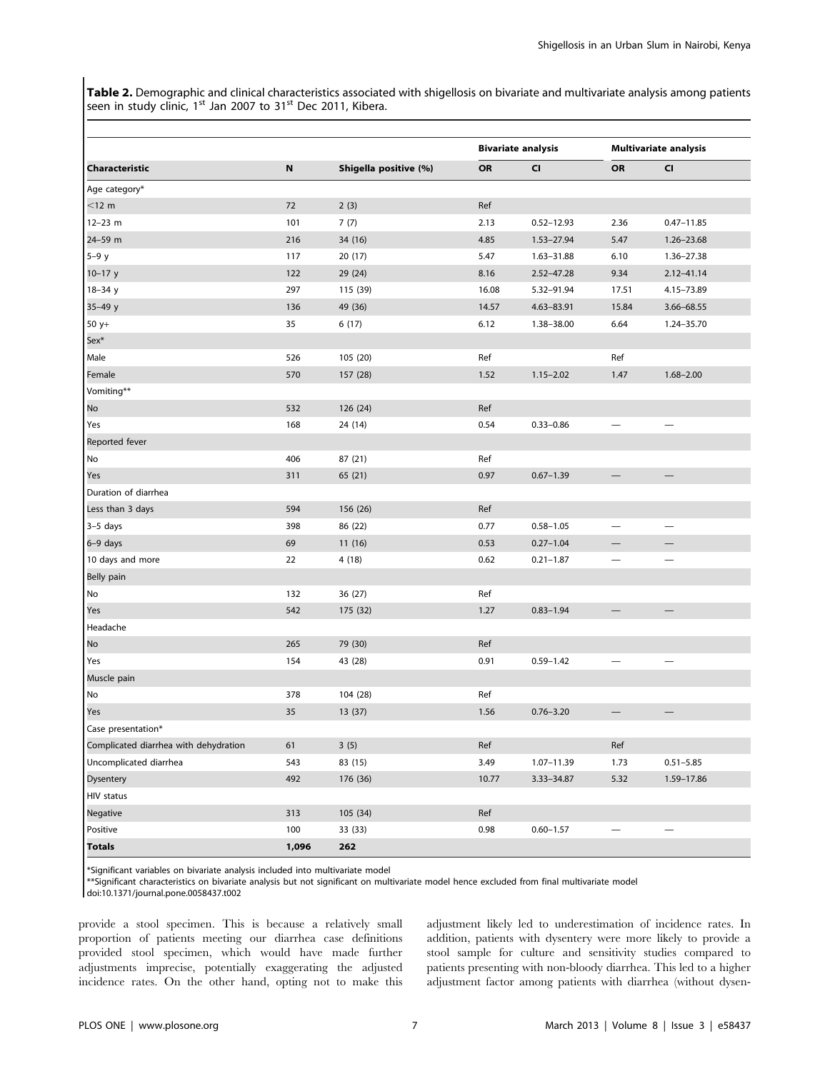Table 2. Demographic and clinical characteristics associated with shigellosis on bivariate and multivariate analysis among patients seen in study clinic,  $1^{st}$  Jan 2007 to  $31^{st}$  Dec 2011, Kibera.

|                                       |       | Shigella positive (%) |           | <b>Bivariate analysis</b> |                          | <b>Multivariate analysis</b> |  |
|---------------------------------------|-------|-----------------------|-----------|---------------------------|--------------------------|------------------------------|--|
| Characteristic                        | N     |                       | <b>OR</b> | <b>CI</b>                 | <b>OR</b>                | CI                           |  |
| Age category*                         |       |                       |           |                           |                          |                              |  |
| $<$ 12 m                              | 72    | 2(3)                  | Ref       |                           |                          |                              |  |
| $12 - 23$ m                           | 101   | 7(7)                  | 2.13      | $0.52 - 12.93$            | 2.36                     | $0.47 - 11.85$               |  |
| 24-59 m                               | 216   | 34 (16)               | 4.85      | 1.53-27.94                | 5.47                     | 1.26-23.68                   |  |
| $5-9y$                                | 117   | 20 (17)               | 5.47      | 1.63-31.88                | 6.10                     | 1.36-27.38                   |  |
| $10 - 17$ y                           | 122   | 29 (24)               | 8.16      | $2.52 - 47.28$            | 9.34                     | $2.12 - 41.14$               |  |
| $18 - 34y$                            | 297   | 115 (39)              | 16.08     | 5.32-91.94                | 17.51                    | 4.15-73.89                   |  |
| $35 - 49y$                            | 136   | 49 (36)               | 14.57     | 4.63-83.91                | 15.84                    | 3.66-68.55                   |  |
| $50 y+$                               | 35    | 6(17)                 | 6.12      | 1.38-38.00                | 6.64                     | 1.24-35.70                   |  |
| Sex <sup>*</sup>                      |       |                       |           |                           |                          |                              |  |
| Male                                  | 526   | 105 (20)              | Ref       |                           | Ref                      |                              |  |
| Female                                | 570   | 157 (28)              | 1.52      | $1.15 - 2.02$             | 1.47                     | $1.68 - 2.00$                |  |
| Vomiting**                            |       |                       |           |                           |                          |                              |  |
| No                                    | 532   | 126 (24)              | Ref       |                           |                          |                              |  |
| Yes                                   | 168   | 24 (14)               | 0.54      | $0.33 - 0.86$             |                          |                              |  |
| Reported fever                        |       |                       |           |                           |                          |                              |  |
| No                                    | 406   | 87 (21)               | Ref       |                           |                          |                              |  |
| Yes                                   | 311   | 65 (21)               | 0.97      | $0.67 - 1.39$             |                          |                              |  |
| Duration of diarrhea                  |       |                       |           |                           |                          |                              |  |
| Less than 3 days                      | 594   | 156 (26)              | Ref       |                           |                          |                              |  |
| $3-5$ days                            | 398   | 86 (22)               | 0.77      | $0.58 - 1.05$             |                          |                              |  |
| 6-9 days                              | 69    | 11(16)                | 0.53      | $0.27 - 1.04$             |                          |                              |  |
| 10 days and more                      | 22    | 4(18)                 | 0.62      | $0.21 - 1.87$             |                          |                              |  |
| Belly pain                            |       |                       |           |                           |                          |                              |  |
| No                                    | 132   | 36 (27)               | Ref       |                           |                          |                              |  |
| Yes                                   | 542   | 175 (32)              | 1.27      | $0.83 - 1.94$             |                          |                              |  |
| Headache                              |       |                       |           |                           |                          |                              |  |
| No                                    | 265   | 79 (30)               | Ref       |                           |                          |                              |  |
| Yes                                   | 154   | 43 (28)               | 0.91      | $0.59 - 1.42$             | $\overline{\phantom{0}}$ |                              |  |
| Muscle pain                           |       |                       |           |                           |                          |                              |  |
| No                                    | 378   | 104 (28)              | Ref       |                           |                          |                              |  |
| Yes                                   | 35    | 13 (37)               | 1.56      | $0.76 - 3.20$             |                          |                              |  |
| Case presentation*                    |       |                       |           |                           |                          |                              |  |
| Complicated diarrhea with dehydration | 61    | 3(5)                  | Ref       |                           | Ref                      |                              |  |
| Uncomplicated diarrhea                | 543   | 83 (15)               | 3.49      | $1.07 - 11.39$            | 1.73                     | $0.51 - 5.85$                |  |
| Dysentery                             | 492   | 176 (36)              | 10.77     | 3.33-34.87                | 5.32                     | 1.59-17.86                   |  |
| HIV status                            |       |                       |           |                           |                          |                              |  |
| Negative                              | 313   | 105 (34)              | Ref       |                           |                          |                              |  |
| Positive                              | 100   | 33 (33)               | 0.98      | $0.60 - 1.57$             |                          |                              |  |
| <b>Totals</b>                         | 1,096 | 262                   |           |                           |                          |                              |  |

\*Significant variables on bivariate analysis included into multivariate model

\*\*Significant characteristics on bivariate analysis but not significant on multivariate model hence excluded from final multivariate model

doi:10.1371/journal.pone.0058437.t002

provide a stool specimen. This is because a relatively small proportion of patients meeting our diarrhea case definitions provided stool specimen, which would have made further adjustments imprecise, potentially exaggerating the adjusted incidence rates. On the other hand, opting not to make this adjustment likely led to underestimation of incidence rates. In addition, patients with dysentery were more likely to provide a stool sample for culture and sensitivity studies compared to patients presenting with non-bloody diarrhea. This led to a higher adjustment factor among patients with diarrhea (without dysen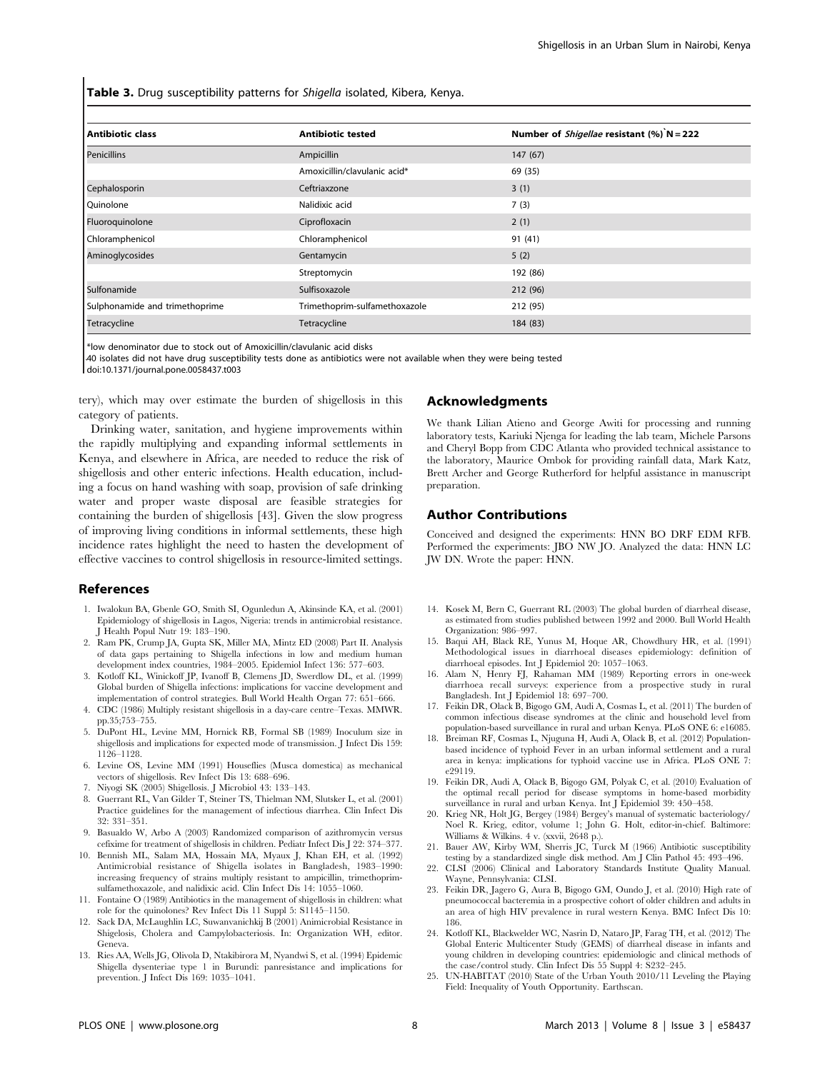Table 3. Drug susceptibility patterns for Shigella isolated, Kibera, Kenya.

| <b>Antibiotic class</b>        | <b>Antibiotic tested</b>      | Number of <i>Shigellae</i> resistant $(\%)$ N = 222 |  |  |
|--------------------------------|-------------------------------|-----------------------------------------------------|--|--|
| Penicillins                    | Ampicillin                    | 147(67)                                             |  |  |
|                                | Amoxicillin/clavulanic acid*  | 69 (35)                                             |  |  |
| Cephalosporin                  | Ceftriaxzone                  | 3(1)                                                |  |  |
| Quinolone                      | Nalidixic acid                | 7(3)                                                |  |  |
| Fluoroquinolone                | Ciprofloxacin                 | 2(1)                                                |  |  |
| Chloramphenicol                | Chloramphenicol               | 91 (41)                                             |  |  |
| Aminoglycosides                | Gentamycin                    | 5(2)                                                |  |  |
|                                | Streptomycin                  | 192 (86)                                            |  |  |
| Sulfonamide                    | Sulfisoxazole                 | 212 (96)                                            |  |  |
| Sulphonamide and trimethoprime | Trimethoprim-sulfamethoxazole | 212 (95)                                            |  |  |
| Tetracycline                   | Tetracycline                  | 184 (83)                                            |  |  |

\*low denominator due to stock out of Amoxicillin/clavulanic acid disks

40 isolates did not have drug susceptibility tests done as antibiotics were not available when they were being tested doi:10.1371/journal.pone.0058437.t003

tery), which may over estimate the burden of shigellosis in this category of patients.

Drinking water, sanitation, and hygiene improvements within the rapidly multiplying and expanding informal settlements in Kenya, and elsewhere in Africa, are needed to reduce the risk of shigellosis and other enteric infections. Health education, including a focus on hand washing with soap, provision of safe drinking water and proper waste disposal are feasible strategies for containing the burden of shigellosis [43]. Given the slow progress of improving living conditions in informal settlements, these high incidence rates highlight the need to hasten the development of effective vaccines to control shigellosis in resource-limited settings.

#### References

- 1. Iwalokun BA, Gbenle GO, Smith SI, Ogunledun A, Akinsinde KA, et al. (2001) Epidemiology of shigellosis in Lagos, Nigeria: trends in antimicrobial resistance. J Health Popul Nutr 19: 183–190.
- 2. Ram PK, Crump JA, Gupta SK, Miller MA, Mintz ED (2008) Part II. Analysis of data gaps pertaining to Shigella infections in low and medium human development index countries, 1984–2005. Epidemiol Infect 136: 577–603.
- 3. Kotloff KL, Winickoff JP, Ivanoff B, Clemens JD, Swerdlow DL, et al. (1999) Global burden of Shigella infections: implications for vaccine development and implementation of control strategies. Bull World Health Organ 77: 651–666.
- 4. CDC (1986) Multiply resistant shigellosis in a day-care centre–Texas. MMWR. pp.35;753–755.
- 5. DuPont HL, Levine MM, Hornick RB, Formal SB (1989) Inoculum size in shigellosis and implications for expected mode of transmission. J Infect Dis 159: 1126–1128.
- 6. Levine OS, Levine MM (1991) Houseflies (Musca domestica) as mechanical vectors of shigellosis. Rev Infect Dis 13: 688–696.
- 7. Niyogi SK (2005) Shigellosis. J Microbiol 43: 133–143.
- 8. Guerrant RL, Van Gilder T, Steiner TS, Thielman NM, Slutsker L, et al. (2001) Practice guidelines for the management of infectious diarrhea. Clin Infect Dis 32: 331–351.
- 9. Basualdo W, Arbo A (2003) Randomized comparison of azithromycin versus cefixime for treatment of shigellosis in children. Pediatr Infect Dis J 22: 374–377.
- 10. Bennish ML, Salam MA, Hossain MA, Myaux J, Khan EH, et al. (1992) Antimicrobial resistance of Shigella isolates in Bangladesh, 1983–1990: increasing frequency of strains multiply resistant to ampicillin, trimethoprimsulfamethoxazole, and nalidixic acid. Clin Infect Dis 14: 1055–1060.
- 11. Fontaine O (1989) Antibiotics in the management of shigellosis in children: what role for the quinolones? Rev Infect Dis 11 Suppl 5: S1145–1150.
- 12. Sack DA, McLaughlin LC, Suwanvanichkij B (2001) Animicrobial Resistance in Shigelosis, Cholera and Campylobacteriosis. In: Organization WH, editor. Geneva.
- 13. Ries AA, Wells JG, Olivola D, Ntakibirora M, Nyandwi S, et al. (1994) Epidemic Shigella dysenteriae type 1 in Burundi: panresistance and implications for prevention. J Infect Dis 169: 1035–1041.

#### Acknowledgments

We thank Lilian Atieno and George Awiti for processing and running laboratory tests, Kariuki Njenga for leading the lab team, Michele Parsons and Cheryl Bopp from CDC Atlanta who provided technical assistance to the laboratory, Maurice Ombok for providing rainfall data, Mark Katz, Brett Archer and George Rutherford for helpful assistance in manuscript preparation.

#### Author Contributions

Conceived and designed the experiments: HNN BO DRF EDM RFB. Performed the experiments: JBO NW JO. Analyzed the data: HNN LC JW DN. Wrote the paper: HNN.

- 14. Kosek M, Bern C, Guerrant RL (2003) The global burden of diarrheal disease, as estimated from studies published between 1992 and 2000. Bull World Health Organization: 986–997.
- 15. Baqui AH, Black RE, Yunus M, Hoque AR, Chowdhury HR, et al. (1991) Methodological issues in diarrhoeal diseases epidemiology: definition of diarrhoeal episodes. Int J Epidemiol 20: 1057–1063.
- 16. Alam N, Henry FJ, Rahaman MM (1989) Reporting errors in one-week diarrhoea recall surveys: experience from a prospective study in rural Bangladesh. Int J Epidemiol 18: 697–700.
- 17. Feikin DR, Olack B, Bigogo GM, Audi A, Cosmas L, et al. (2011) The burden of common infectious disease syndromes at the clinic and household level from population-based surveillance in rural and urban Kenya. PLoS ONE 6: e16085.
- 18. Breiman RF, Cosmas L, Njuguna H, Audi A, Olack B, et al. (2012) Populationbased incidence of typhoid Fever in an urban informal settlement and a rural area in kenya: implications for typhoid vaccine use in Africa. PLoS ONE 7: e29119.
- 19. Feikin DR, Audi A, Olack B, Bigogo GM, Polyak C, et al. (2010) Evaluation of the optimal recall period for disease symptoms in home-based morbidity surveillance in rural and urban Kenya. Int J Epidemiol 39: 450–458.
- 20. Krieg NR, Holt JG, Bergey (1984) Bergey's manual of systematic bacteriology/ Noel R. Krieg, editor, volume 1; John G. Holt, editor-in-chief. Baltimore: Williams & Wilkins. 4 v. (xxvii, 2648 p.).
- 21. Bauer AW, Kirby WM, Sherris JC, Turck M (1966) Antibiotic susceptibility testing by a standardized single disk method. Am J Clin Pathol 45: 493–496.
- 22. CLSI (2006) Clinical and Laboratory Standards Institute Quality Manual. Wayne, Pennsylvania: CLSI.
- 23. Feikin DR, Jagero G, Aura B, Bigogo GM, Oundo J, et al. (2010) High rate of pneumococcal bacteremia in a prospective cohort of older children and adults in an area of high HIV prevalence in rural western Kenya. BMC Infect Dis 10: 186.
- 24. Kotloff KL, Blackwelder WC, Nasrin D, Nataro JP, Farag TH, et al. (2012) The Global Enteric Multicenter Study (GEMS) of diarrheal disease in infants and young children in developing countries: epidemiologic and clinical methods of the case/control study. Clin Infect Dis 55 Suppl 4: S232–245.
- 25. UN-HABITAT (2010) State of the Urban Youth 2010/11 Leveling the Playing Field: Inequality of Youth Opportunity. Earthscan.